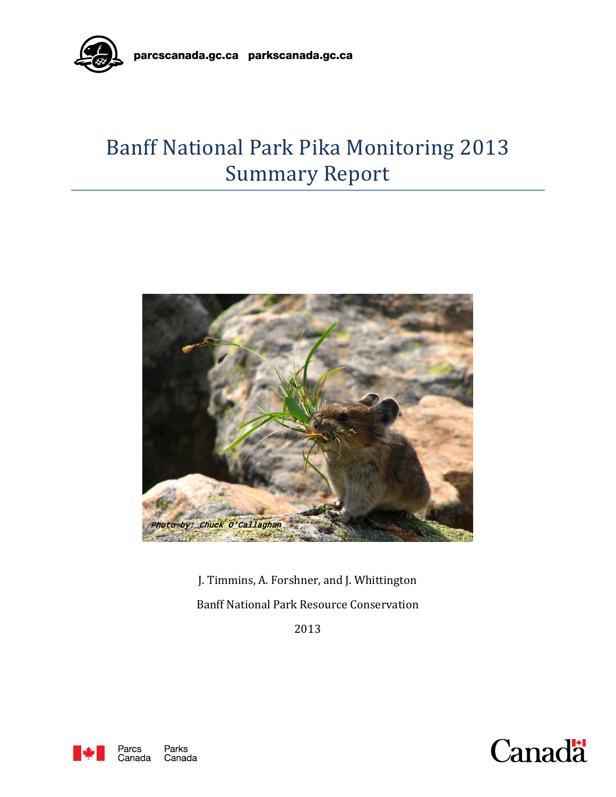

# Banff National Park Pika Monitoring 2013 Summary Report



J. Timmins, A. Forshner, and J. Whittington Banff National Park Resource Conservation

2013



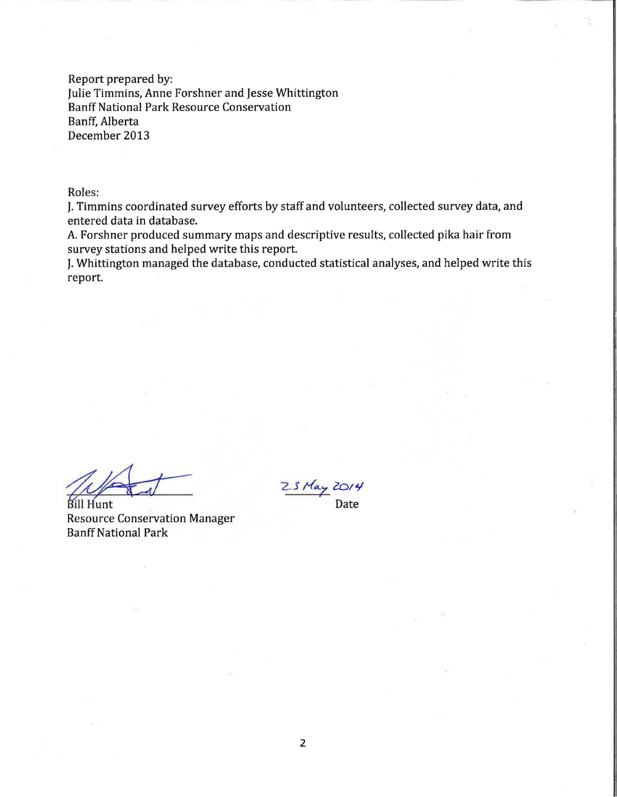Report prepared by: Julie Timmins, Anne Forshner and Jesse Whittington Banff National Park Resource Conservation Banff, Alberta December 2013

Roles:

J. Timmins coordinated survey efforts by staff and volunteers, collected survey data, and entered data in database.

A. Forshner produced summary maps and descriptive results, collected pika hair from survey stations and helped write this report.

J. Whittington managed the database, conducted statistical analyses, and helped write this report.

A<br>Bill Hunt<br>Resource Conservation Manager<br>Ranff National Park Banff National Park

Date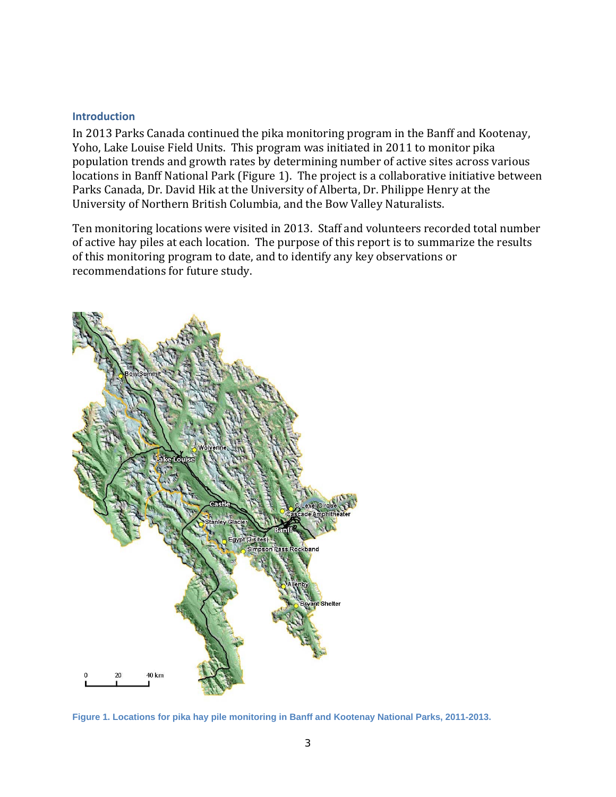#### **Introduction**

In 2013 Parks Canada continued the pika monitoring program in the Banff and Kootenay, Yoho, Lake Louise Field Units. This program was initiated in 2011 to monitor pika population trends and growth rates by determining number of active sites across various locations in Banff National Park (Figure 1). The project is a collaborative initiative between Parks Canada, Dr. David Hik at the University of Alberta, Dr. Philippe Henry at the University of Northern British Columbia, and the Bow Valley Naturalists.

Ten monitoring locations were visited in 2013. Staff and volunteers recorded total number of active hay piles at each location. The purpose of this report is to summarize the results of this monitoring program to date, and to identify any key observations or recommendations for future study.



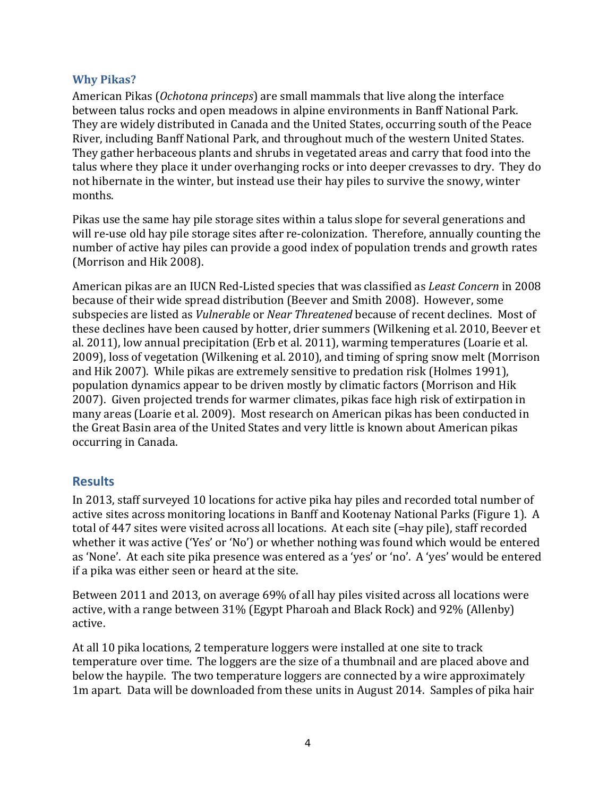#### **Why Pikas?**

American Pikas (*Ochotona princeps*) are small mammals that live along the interface between talus rocks and open meadows in alpine environments in Banff National Park. They are widely distributed in Canada and the United States, occurring south of the Peace River, including Banff National Park, and throughout much of the western United States. They gather herbaceous plants and shrubs in vegetated areas and carry that food into the talus where they place it under overhanging rocks or into deeper crevasses to dry. They do not hibernate in the winter, but instead use their hay piles to survive the snowy, winter months.

Pikas use the same hay pile storage sites within a talus slope for several generations and will re-use old hay pile storage sites after re-colonization. Therefore, annually counting the number of active hay piles can provide a good index of population trends and growth rates (Morrison and Hik 2008).

American pikas are an IUCN Red-Listed species that was classified as *Least Concern* in 2008 because of their wide spread distribution (Beever and Smith 2008). However, some subspecies are listed as *Vulnerable* or *Near Threatened* because of recent declines. Most of these declines have been caused by hotter, drier summers (Wilkening et al. 2010, Beever et al. 2011), low annual precipitation (Erb et al. 2011), warming temperatures (Loarie et al. 2009), loss of vegetation (Wilkening et al. 2010), and timing of spring snow melt (Morrison and Hik 2007). While pikas are extremely sensitive to predation risk (Holmes 1991), population dynamics appear to be driven mostly by climatic factors (Morrison and Hik 2007). Given projected trends for warmer climates, pikas face high risk of extirpation in many areas (Loarie et al. 2009). Most research on American pikas has been conducted in the Great Basin area of the United States and very little is known about American pikas occurring in Canada.

### **Results**

In 2013, staff surveyed 10 locations for active pika hay piles and recorded total number of active sites across monitoring locations in Banff and Kootenay National Parks (Figure 1). A total of 447 sites were visited across all locations. At each site (=hay pile), staff recorded whether it was active ('Yes' or 'No') or whether nothing was found which would be entered as 'None'. At each site pika presence was entered as a 'yes' or 'no'. A 'yes' would be entered if a pika was either seen or heard at the site.

Between 2011 and 2013, on average 69% of all hay piles visited across all locations were active, with a range between 31% (Egypt Pharoah and Black Rock) and 92% (Allenby) active.

At all 10 pika locations, 2 temperature loggers were installed at one site to track temperature over time. The loggers are the size of a thumbnail and are placed above and below the haypile. The two temperature loggers are connected by a wire approximately 1m apart. Data will be downloaded from these units in August 2014. Samples of pika hair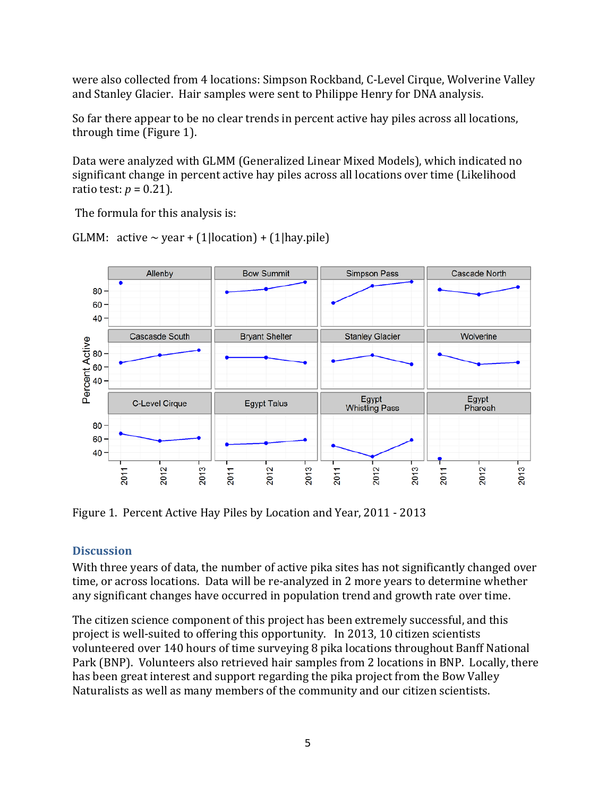were also collected from 4 locations: Simpson Rockband, C-Level Cirque, Wolverine Valley and Stanley Glacier. Hair samples were sent to Philippe Henry for DNA analysis.

So far there appear to be no clear trends in percent active hay piles across all locations, through time (Figure 1).

Data were analyzed with GLMM (Generalized Linear Mixed Models), which indicated no significant change in percent active hay piles across all locations over time (Likelihood ratio test:  $p = 0.21$ ).

The formula for this analysis is:

GLMM: active  $\sim$  year + (1|location) + (1|hay.pile)



Figure 1. Percent Active Hay Piles by Location and Year, 2011 - 2013

## **Discussion**

With three years of data, the number of active pika sites has not significantly changed over time, or across locations. Data will be re-analyzed in 2 more years to determine whether any significant changes have occurred in population trend and growth rate over time.

The citizen science component of this project has been extremely successful, and this project is well-suited to offering this opportunity. In 2013, 10 citizen scientists volunteered over 140 hours of time surveying 8 pika locations throughout Banff National Park (BNP). Volunteers also retrieved hair samples from 2 locations in BNP. Locally, there has been great interest and support regarding the pika project from the Bow Valley Naturalists as well as many members of the community and our citizen scientists.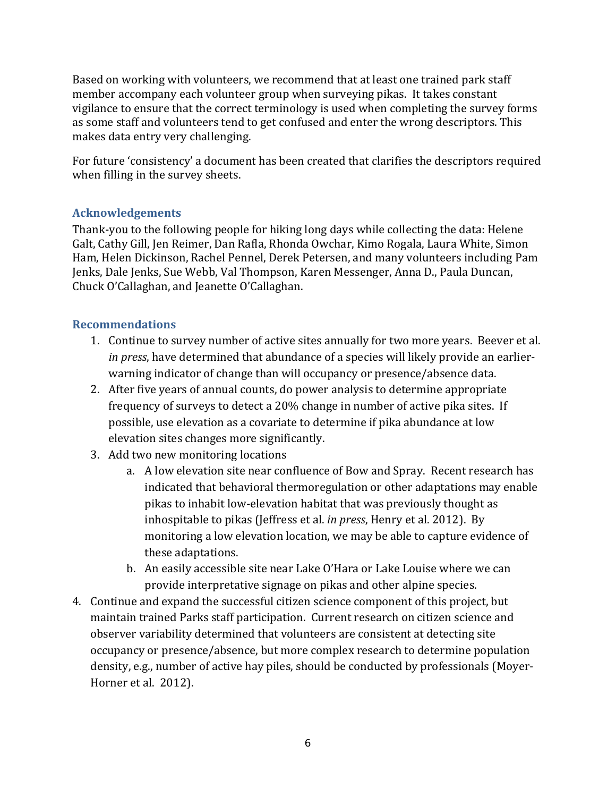Based on working with volunteers, we recommend that at least one trained park staff member accompany each volunteer group when surveying pikas. It takes constant vigilance to ensure that the correct terminology is used when completing the survey forms as some staff and volunteers tend to get confused and enter the wrong descriptors. This makes data entry very challenging.

For future 'consistency' a document has been created that clarifies the descriptors required when filling in the survey sheets.

## **Acknowledgements**

Thank-you to the following people for hiking long days while collecting the data: Helene Galt, Cathy Gill, Jen Reimer, Dan Rafla, Rhonda Owchar, Kimo Rogala, Laura White, Simon Ham, Helen Dickinson, Rachel Pennel, Derek Petersen, and many volunteers including Pam Jenks, Dale Jenks, Sue Webb, Val Thompson, Karen Messenger, Anna D., Paula Duncan, Chuck O'Callaghan, and Jeanette O'Callaghan.

## **Recommendations**

- 1. Continue to survey number of active sites annually for two more years. Beever et al. *in press*, have determined that abundance of a species will likely provide an earlierwarning indicator of change than will occupancy or presence/absence data.
- 2. After five years of annual counts, do power analysis to determine appropriate frequency of surveys to detect a 20% change in number of active pika sites. If possible, use elevation as a covariate to determine if pika abundance at low elevation sites changes more significantly.
- 3. Add two new monitoring locations
	- a. A low elevation site near confluence of Bow and Spray. Recent research has indicated that behavioral thermoregulation or other adaptations may enable pikas to inhabit low-elevation habitat that was previously thought as inhospitable to pikas (Jeffress et al. *in press*, Henry et al. 2012). By monitoring a low elevation location, we may be able to capture evidence of these adaptations.
	- b. An easily accessible site near Lake O'Hara or Lake Louise where we can provide interpretative signage on pikas and other alpine species.
- 4. Continue and expand the successful citizen science component of this project, but maintain trained Parks staff participation. Current research on citizen science and observer variability determined that volunteers are consistent at detecting site occupancy or presence/absence, but more complex research to determine population density, e.g., number of active hay piles, should be conducted by professionals (Moyer-Horner et al. 2012).